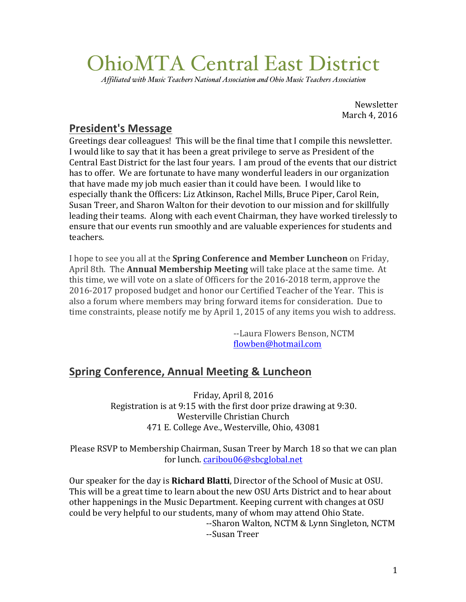# OhioMTA Central East District

*Affiliated with Music Teachers National Association and Ohio Music Teachers Association*

**Newsletter** March 4, 2016

### **President's Message**

Greetings dear colleagues! This will be the final time that I compile this newsletter. I would like to say that it has been a great privilege to serve as President of the Central East District for the last four years. I am proud of the events that our district has to offer. We are fortunate to have many wonderful leaders in our organization that have made my job much easier than it could have been. I would like to especially thank the Officers: Liz Atkinson, Rachel Mills, Bruce Piper, Carol Rein, Susan Treer, and Sharon Walton for their devotion to our mission and for skillfully leading their teams. Along with each event Chairman, they have worked tirelessly to ensure that our events run smoothly and are valuable experiences for students and teachers.

I hope to see you all at the **Spring Conference and Member Luncheon** on Friday, April 8th. The **Annual Membership Meeting** will take place at the same time. At this time, we will vote on a slate of Officers for the 2016-2018 term, approve the 2016-2017 proposed budget and honor our Certified Teacher of the Year. This is also a forum where members may bring forward items for consideration. Due to time constraints, please notify me by April 1, 2015 of any items you wish to address.

> --Laura Flowers Benson, NCTM flowben@hotmail.com

# **Spring Conference, Annual Meeting & Luncheon**

Friday, April 8, 2016 Registration is at  $9:15$  with the first door prize drawing at  $9:30$ . Westerville Christian Church 471 E. College Ave., Westerville, Ohio, 43081

Please RSVP to Membership Chairman, Susan Treer by March 18 so that we can plan for lunch. caribou06@sbcglobal.net

Our speaker for the day is **Richard Blatti**, Director of the School of Music at OSU. This will be a great time to learn about the new OSU Arts District and to hear about other happenings in the Music Department. Keeping current with changes at OSU could be very helpful to our students, many of whom may attend Ohio State. --Sharon Walton, NCTM & Lynn Singleton, NCTM --Susan Treer